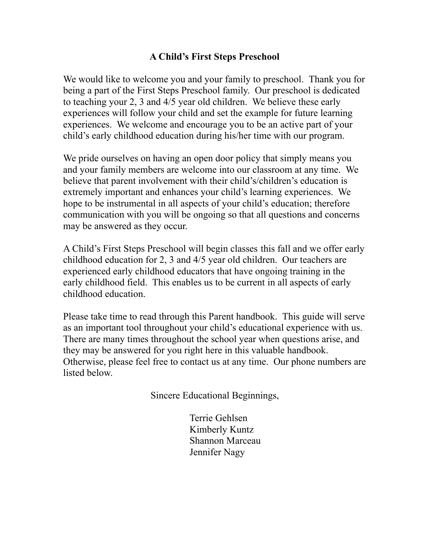### **A Child's First Steps Preschool**

We would like to welcome you and your family to preschool. Thank you for being a part of the First Steps Preschool family. Our preschool is dedicated to teaching your 2, 3 and 4/5 year old children. We believe these early experiences will follow your child and set the example for future learning experiences. We welcome and encourage you to be an active part of your child's early childhood education during his/her time with our program.

We pride ourselves on having an open door policy that simply means you and your family members are welcome into our classroom at any time. We believe that parent involvement with their child's/children's education is extremely important and enhances your child's learning experiences. We hope to be instrumental in all aspects of your child's education; therefore communication with you will be ongoing so that all questions and concerns may be answered as they occur.

A Child's First Steps Preschool will begin classes this fall and we offer early childhood education for 2, 3 and 4/5 year old children. Our teachers are experienced early childhood educators that have ongoing training in the early childhood field. This enables us to be current in all aspects of early childhood education.

Please take time to read through this Parent handbook. This guide will serve as an important tool throughout your child's educational experience with us. There are many times throughout the school year when questions arise, and they may be answered for you right here in this valuable handbook. Otherwise, please feel free to contact us at any time. Our phone numbers are listed below.

Sincere Educational Beginnings,

Terrie Gehlsen Kimberly Kuntz Shannon Marceau Jennifer Nagy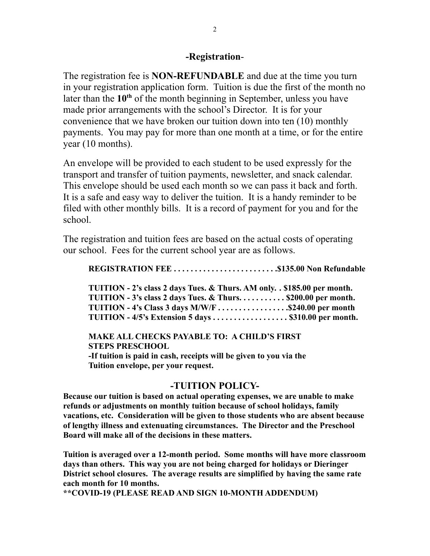#### **-Registration**-

The registration fee is **NON-REFUNDABLE** and due at the time you turn in your registration application form. Tuition is due the first of the month no later than the 10<sup>th</sup> of the month beginning in September, unless you have made prior arrangements with the school's Director. It is for your convenience that we have broken our tuition down into ten (10) monthly payments. You may pay for more than one month at a time, or for the entire year (10 months).

An envelope will be provided to each student to be used expressly for the transport and transfer of tuition payments, newsletter, and snack calendar. This envelope should be used each month so we can pass it back and forth. It is a safe and easy way to deliver the tuition. It is a handy reminder to be filed with other monthly bills. It is a record of payment for you and for the school.

The registration and tuition fees are based on the actual costs of operating our school. Fees for the current school year are as follows.

**REGISTRATION FEE . . . . . . . . . . . . . . . . . . . . . . . . .\$135.00 Non Refundable**

**TUITION - 2's class 2 days Tues. & Thurs. AM only. . \$185.00 per month. TUITION - 3's class 2 days Tues. & Thurs. . . . . . . . . . . \$200.00 per month. TUITION - 4's Class 3 days M/W/F . . . . . . . . . . . . . . . . .\$240.00 per month TUITION - 4/5's Extension 5 days . . . . . . . . . . . . . . . . . . \$310.00 per month.**

**MAKE ALL CHECKS PAYABLE TO: A CHILD'S FIRST STEPS PRESCHOOL**

**-If tuition is paid in cash, receipts will be given to you via the Tuition envelope, per your request.**

#### **-TUITION POLICY-**

**Because our tuition is based on actual operating expenses, we are unable to make refunds or adjustments on monthly tuition because of school holidays, family vacations, etc. Consideration will be given to those students who are absent because of lengthy illness and extenuating circumstances. The Director and the Preschool Board will make all of the decisions in these matters.**

**Tuition is averaged over a 12-month period. Some months will have more classroom days than others. This way you are not being charged for holidays or Dieringer District school closures. The average results are simplified by having the same rate each month for 10 months.**

**\*\*COVID-19 (PLEASE READ AND SIGN 10-MONTH ADDENDUM)**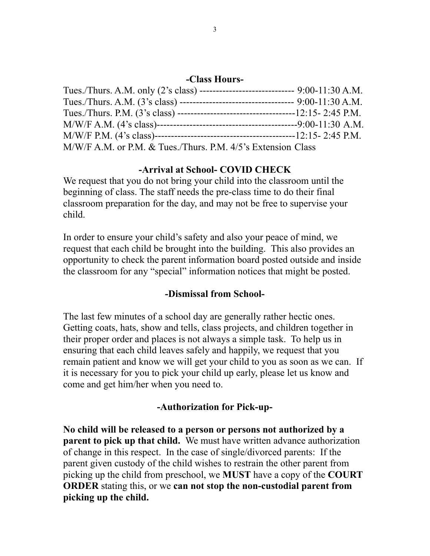#### **-Class Hours-**

| Tues./Thurs. A.M. only (2's class) ----------------------------- 9:00-11:30 A.M. |  |
|----------------------------------------------------------------------------------|--|
|                                                                                  |  |
|                                                                                  |  |
|                                                                                  |  |
|                                                                                  |  |
| M/W/F A.M. or P.M. & Tues./Thurs. P.M. 4/5's Extension Class                     |  |

# **-Arrival at School- COVID CHECK**

We request that you do not bring your child into the classroom until the beginning of class. The staff needs the pre-class time to do their final classroom preparation for the day, and may not be free to supervise your child.

In order to ensure your child's safety and also your peace of mind, we request that each child be brought into the building. This also provides an opportunity to check the parent information board posted outside and inside the classroom for any "special" information notices that might be posted.

### **-Dismissal from School-**

The last few minutes of a school day are generally rather hectic ones. Getting coats, hats, show and tells, class projects, and children together in their proper order and places is not always a simple task. To help us in ensuring that each child leaves safely and happily, we request that you remain patient and know we will get your child to you as soon as we can. If it is necessary for you to pick your child up early, please let us know and come and get him/her when you need to.

# **-Authorization for Pick-up-**

**No child will be released to a person or persons not authorized by a parent to pick up that child.** We must have written advance authorization of change in this respect. In the case of single/divorced parents: If the parent given custody of the child wishes to restrain the other parent from picking up the child from preschool, we **MUST** have a copy of the **COURT ORDER** stating this, or we **can not stop the non-custodial parent from picking up the child.**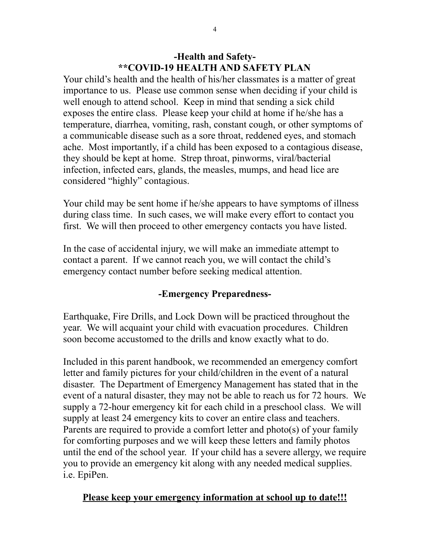## **-Health and Safety- \*\*COVID-19 HEALTH AND SAFETY PLAN**

Your child's health and the health of his/her classmates is a matter of great importance to us. Please use common sense when deciding if your child is well enough to attend school. Keep in mind that sending a sick child exposes the entire class. Please keep your child at home if he/she has a temperature, diarrhea, vomiting, rash, constant cough, or other symptoms of a communicable disease such as a sore throat, reddened eyes, and stomach ache. Most importantly, if a child has been exposed to a contagious disease, they should be kept at home. Strep throat, pinworms, viral/bacterial infection, infected ears, glands, the measles, mumps, and head lice are considered "highly" contagious.

Your child may be sent home if he/she appears to have symptoms of illness during class time. In such cases, we will make every effort to contact you first. We will then proceed to other emergency contacts you have listed.

In the case of accidental injury, we will make an immediate attempt to contact a parent. If we cannot reach you, we will contact the child's emergency contact number before seeking medical attention.

# **-Emergency Preparedness-**

Earthquake, Fire Drills, and Lock Down will be practiced throughout the year. We will acquaint your child with evacuation procedures. Children soon become accustomed to the drills and know exactly what to do.

Included in this parent handbook, we recommended an emergency comfort letter and family pictures for your child/children in the event of a natural disaster. The Department of Emergency Management has stated that in the event of a natural disaster, they may not be able to reach us for 72 hours. We supply a 72-hour emergency kit for each child in a preschool class. We will supply at least 24 emergency kits to cover an entire class and teachers. Parents are required to provide a comfort letter and photo(s) of your family for comforting purposes and we will keep these letters and family photos until the end of the school year. If your child has a severe allergy, we require you to provide an emergency kit along with any needed medical supplies. i.e. EpiPen.

# **Please keep your emergency information at school up to date!!!**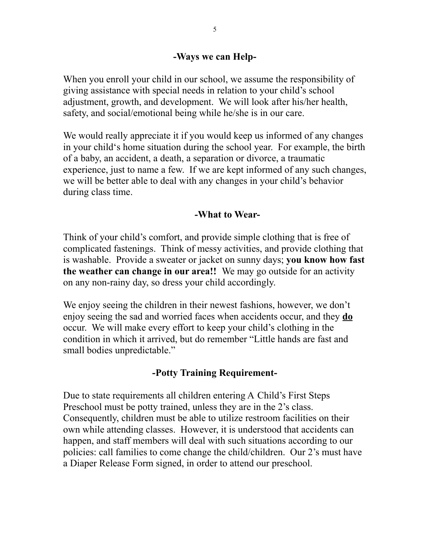### **-Ways we can Help-**

When you enroll your child in our school, we assume the responsibility of giving assistance with special needs in relation to your child's school adjustment, growth, and development. We will look after his/her health, safety, and social/emotional being while he/she is in our care.

We would really appreciate it if you would keep us informed of any changes in your child's home situation during the school year. For example, the birth of a baby, an accident, a death, a separation or divorce, a traumatic experience, just to name a few. If we are kept informed of any such changes, we will be better able to deal with any changes in your child's behavior during class time.

## **-What to Wear-**

Think of your child's comfort, and provide simple clothing that is free of complicated fastenings. Think of messy activities, and provide clothing that is washable. Provide a sweater or jacket on sunny days; **you know how fast the weather can change in our area!!** We may go outside for an activity on any non-rainy day, so dress your child accordingly.

We enjoy seeing the children in their newest fashions, however, we don't enjoy seeing the sad and worried faces when accidents occur, and they **do** occur. We will make every effort to keep your child's clothing in the condition in which it arrived, but do remember "Little hands are fast and small bodies unpredictable."

# **-Potty Training Requirement-**

Due to state requirements all children entering A Child's First Steps Preschool must be potty trained, unless they are in the 2's class. Consequently, children must be able to utilize restroom facilities on their own while attending classes. However, it is understood that accidents can happen, and staff members will deal with such situations according to our policies: call families to come change the child/children. Our 2's must have a Diaper Release Form signed, in order to attend our preschool.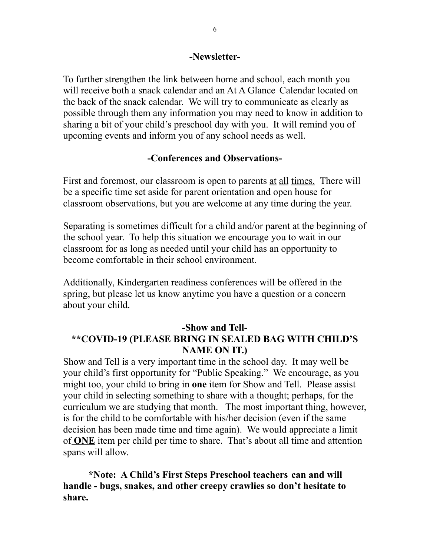#### **-Newsletter-**

To further strengthen the link between home and school, each month you will receive both a snack calendar and an At A Glance Calendar located on the back of the snack calendar. We will try to communicate as clearly as possible through them any information you may need to know in addition to sharing a bit of your child's preschool day with you. It will remind you of upcoming events and inform you of any school needs as well.

# **-Conferences and Observations-**

First and foremost, our classroom is open to parents at all times. There will be a specific time set aside for parent orientation and open house for classroom observations, but you are welcome at any time during the year.

Separating is sometimes difficult for a child and/or parent at the beginning of the school year. To help this situation we encourage you to wait in our classroom for as long as needed until your child has an opportunity to become comfortable in their school environment.

Additionally, Kindergarten readiness conferences will be offered in the spring, but please let us know anytime you have a question or a concern about your child.

# **-Show and Tell- \*\*COVID-19 (PLEASE BRING IN SEALED BAG WITH CHILD'S NAME ON IT.)**

Show and Tell is a very important time in the school day. It may well be your child's first opportunity for "Public Speaking." We encourage, as you might too, your child to bring in **one** item for Show and Tell. Please assist your child in selecting something to share with a thought; perhaps, for the curriculum we are studying that month. The most important thing, however, is for the child to be comfortable with his/her decision (even if the same decision has been made time and time again). We would appreciate a limit of **ONE** item per child per time to share. That's about all time and attention spans will allow.

**\*Note: A Child's First Steps Preschool teachers can and will handle - bugs, snakes, and other creepy crawlies so don't hesitate to share.**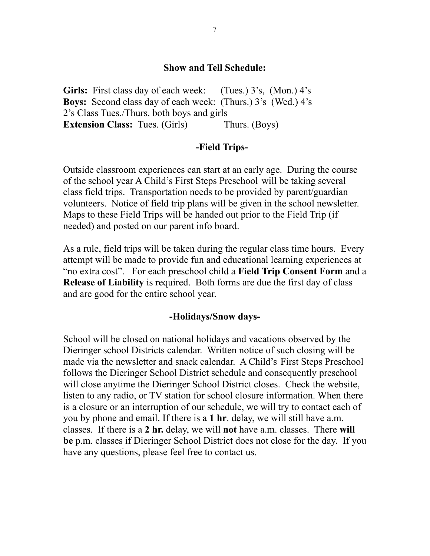#### **Show and Tell Schedule:**

Girls: First class day of each week: (Tues.) 3's, (Mon.) 4's **Boys:** Second class day of each week: (Thurs.) 3's (Wed.) 4's 2's Class Tues./Thurs. both boys and girls **Extension Class:** Tues. (Girls) Thurs. (Boys)

#### **-Field Trips-**

Outside classroom experiences can start at an early age. During the course of the school year A Child's First Steps Preschool will be taking several class field trips. Transportation needs to be provided by parent/guardian volunteers. Notice of field trip plans will be given in the school newsletter. Maps to these Field Trips will be handed out prior to the Field Trip (if needed) and posted on our parent info board.

As a rule, field trips will be taken during the regular class time hours. Every attempt will be made to provide fun and educational learning experiences at "no extra cost". For each preschool child a **Field Trip Consent Form** and a **Release of Liability** is required. Both forms are due the first day of class and are good for the entire school year.

#### **-Holidays/Snow days-**

School will be closed on national holidays and vacations observed by the Dieringer school Districts calendar. Written notice of such closing will be made via the newsletter and snack calendar. A Child's First Steps Preschool follows the Dieringer School District schedule and consequently preschool will close anytime the Dieringer School District closes. Check the website, listen to any radio, or TV station for school closure information. When there is a closure or an interruption of our schedule, we will try to contact each of you by phone and email. If there is a **1 hr**. delay, we will still have a.m. classes. If there is a **2 hr.** delay, we will **not** have a.m. classes. There **will be** p.m. classes if Dieringer School District does not close for the day. If you have any questions, please feel free to contact us.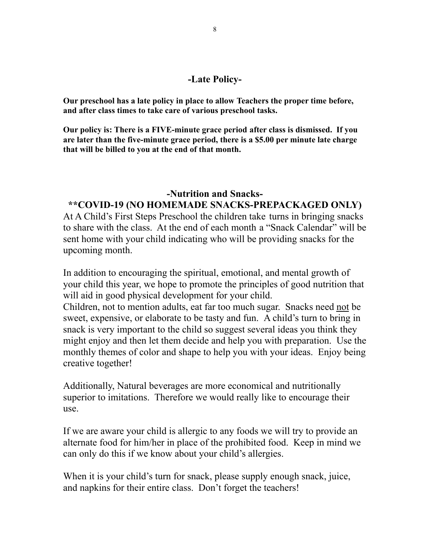#### **-Late Policy-**

**Our preschool has a late policy in place to allow Teachers the proper time before, and after class times to take care of various preschool tasks.**

**Our policy is: There is a FIVE-minute grace period after class is dismissed. If you are later than the five-minute grace period, there is a \$5.00 per minute late charge that will be billed to you at the end of that month.**

### **-Nutrition and Snacks-**

# **\*\*COVID-19 (NO HOMEMADE SNACKS-PREPACKAGED ONLY)**

At A Child's First Steps Preschool the children take turns in bringing snacks to share with the class. At the end of each month a "Snack Calendar" will be sent home with your child indicating who will be providing snacks for the upcoming month.

In addition to encouraging the spiritual, emotional, and mental growth of your child this year, we hope to promote the principles of good nutrition that will aid in good physical development for your child.

Children, not to mention adults, eat far too much sugar. Snacks need not be sweet, expensive, or elaborate to be tasty and fun. A child's turn to bring in snack is very important to the child so suggest several ideas you think they might enjoy and then let them decide and help you with preparation. Use the monthly themes of color and shape to help you with your ideas. Enjoy being creative together!

Additionally, Natural beverages are more economical and nutritionally superior to imitations. Therefore we would really like to encourage their use.

If we are aware your child is allergic to any foods we will try to provide an alternate food for him/her in place of the prohibited food. Keep in mind we can only do this if we know about your child's allergies.

When it is your child's turn for snack, please supply enough snack, juice, and napkins for their entire class. Don't forget the teachers!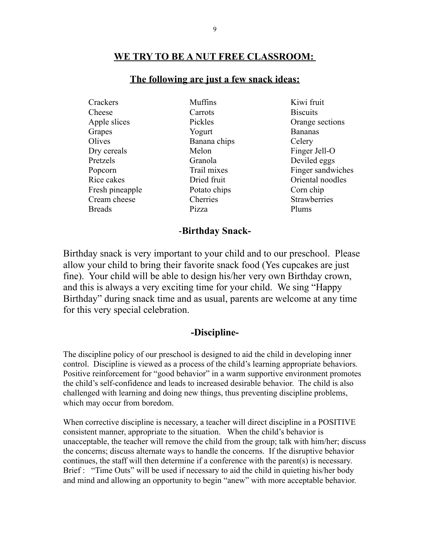#### **WE TRY TO BE A NUT FREE CLASSROOM:**

#### **The following are just a few snack ideas:**

Crackers Muffins Kiwi fruit Cheese Carrots Biscuits Apple slices Pickles Pickles Orange sections Grapes **Solution** Yogurt Bananas Olives Banana chips Celery Dry cereals Melon Finger Jell-O Pretzels Granola Deviled eggs Rice cakes **Dried fruit** Communication Communication Communication Oriental noodles Fresh pineapple Potato chips Corn chip Cream cheese Cherries Strawberries Breads Pizza Plums

Popcorn Trail mixes Finger sandwiches

#### -**Birthday Snack-**

Birthday snack is very important to your child and to our preschool. Please allow your child to bring their favorite snack food (Yes cupcakes are just fine). Your child will be able to design his/her very own Birthday crown, and this is always a very exciting time for your child. We sing "Happy Birthday" during snack time and as usual, parents are welcome at any time for this very special celebration.

#### **-Discipline-**

The discipline policy of our preschool is designed to aid the child in developing inner control. Discipline is viewed as a process of the child's learning appropriate behaviors. Positive reinforcement for "good behavior" in a warm supportive environment promotes the child's self-confidence and leads to increased desirable behavior. The child is also challenged with learning and doing new things, thus preventing discipline problems, which may occur from boredom.

When corrective discipline is necessary, a teacher will direct discipline in a POSITIVE consistent manner, appropriate to the situation. When the child's behavior is unacceptable, the teacher will remove the child from the group; talk with him/her; discuss the concerns; discuss alternate ways to handle the concerns. If the disruptive behavior continues, the staff will then determine if a conference with the parent(s) is necessary. Brief : "Time Outs" will be used if necessary to aid the child in quieting his/her body and mind and allowing an opportunity to begin "anew" with more acceptable behavior.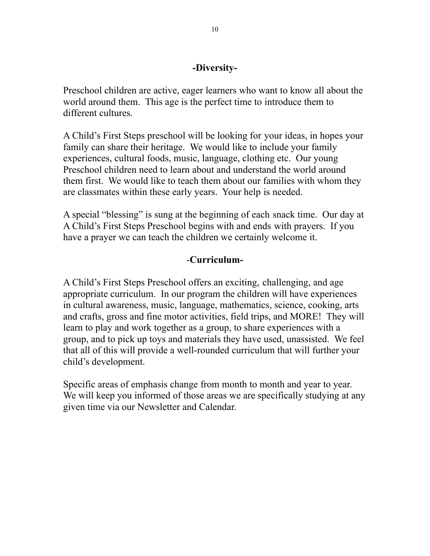### **-Diversity-**

Preschool children are active, eager learners who want to know all about the world around them. This age is the perfect time to introduce them to different cultures.

A Child's First Steps preschool will be looking for your ideas, in hopes your family can share their heritage. We would like to include your family experiences, cultural foods, music, language, clothing etc. Our young Preschool children need to learn about and understand the world around them first. We would like to teach them about our families with whom they are classmates within these early years. Your help is needed.

A special "blessing" is sung at the beginning of each snack time. Our day at A Child's First Steps Preschool begins with and ends with prayers. If you have a prayer we can teach the children we certainly welcome it.

## -**Curriculum-**

A Child's First Steps Preschool offers an exciting, challenging, and age appropriate curriculum. In our program the children will have experiences in cultural awareness, music, language, mathematics, science, cooking, arts and crafts, gross and fine motor activities, field trips, and MORE! They will learn to play and work together as a group, to share experiences with a group, and to pick up toys and materials they have used, unassisted. We feel that all of this will provide a well-rounded curriculum that will further your child's development.

Specific areas of emphasis change from month to month and year to year. We will keep you informed of those areas we are specifically studying at any given time via our Newsletter and Calendar.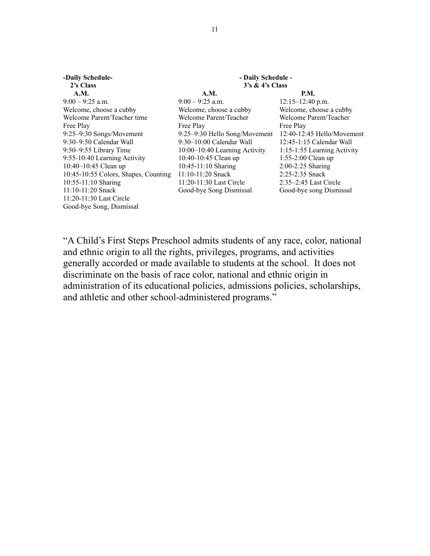| -Daily Schedule-                     | - Daily Schedule -            |                              |  |
|--------------------------------------|-------------------------------|------------------------------|--|
| 2's Class                            | $3's \& 4's Class$            |                              |  |
| <b>A.M.</b>                          | A.M.                          | P.M.                         |  |
| $9:00 - 9:25$ a.m.                   | $9:00 - 9:25$ a.m.            | $12:15 - 12:40$ p.m.         |  |
| Welcome, choose a cubby              | Welcome, choose a cubby       | Welcome, choose a cubby      |  |
| Welcome Parent/Teacher time          | Welcome Parent/Teacher        | Welcome Parent/Teacher       |  |
| Free Play                            | Free Play                     | Free Play                    |  |
| 9:25-9:30 Songs/Movement             | 9:25-9:30 Hello Song/Movement | $12:40-12:45$ Hello/Movement |  |
| 9:30–9:50 Calendar Wall              | $9:30-10:00$ Calendar Wall    | $12:45-1:15$ Calendar Wall   |  |
| $9:50-9:55$ Library Time             | 10:00–10:40 Learning Activity | 1:15-1:55 Learning Activity  |  |
| 9:55-10:40 Learning Activity         | 10:40-10:45 Clean up          | 1:55-2:00 Clean up           |  |
| 10:40–10:45 Clean up                 | $10:45-11:10$ Sharing         | $2:00-2:25$ Sharing          |  |
| 10:45-10:55 Colors, Shapes, Counting | $11:10-11:20$ Snack           | 2:25-2:35 Snack              |  |
| 10:55-11:10 Sharing                  | 11:20-11:30 Last Circle       | $2:35-2:45$ Last Circle      |  |
| $11:10-11:20$ Snack                  | Good-bye Song Dismissal       | Good-bye song Dismissal      |  |
| $11:20-11:30$ Last Circle            |                               |                              |  |
| Good-bye Song, Dismissal             |                               |                              |  |

"A Child's First Steps Preschool admits students of any race, color, national and ethnic origin to all the rights, privileges, programs, and activities generally accorded or made available to students at the school. It does not discriminate on the basis of race color, national and ethnic origin in administration of its educational policies, admissions policies, scholarships, and athletic and other school-administered programs."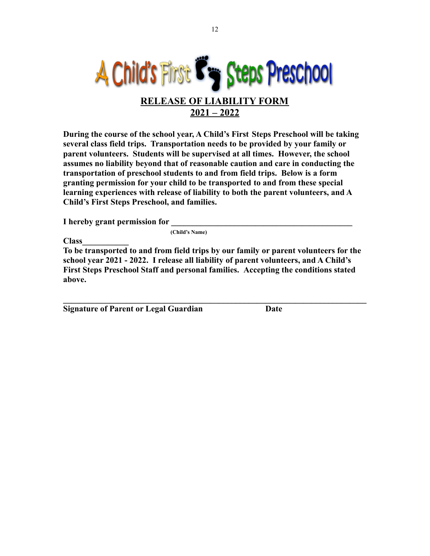

**During the course of the school year, A Child's First Steps Preschool will be taking several class field trips. Transportation needs to be provided by your family or parent volunteers. Students will be supervised at all times. However, the school assumes no liability beyond that of reasonable caution and care in conducting the transportation of preschool students to and from field trips. Below is a form granting permission for your child to be transported to and from these special learning experiences with release of liability to both the parent volunteers, and A Child's First Steps Preschool, and families.**

**I** hereby grant permission for

**(Child's Name)**

**Class\_\_\_\_\_\_\_\_\_\_\_**

**To be transported to and from field trips by our family or parent volunteers for the school year 2021 - 2022. I release all liability of parent volunteers, and A Child's First Steps Preschool Staff and personal families. Accepting the conditions stated above.**

**\_\_\_\_\_\_\_\_\_\_\_\_\_\_\_\_\_\_\_\_\_\_\_\_\_\_\_\_\_\_\_\_\_\_\_\_\_\_\_\_\_\_\_\_\_\_\_\_\_\_\_\_\_\_\_\_\_\_\_\_\_\_\_\_\_\_\_\_\_\_\_\_**

**Signature of Parent or Legal Guardian Date**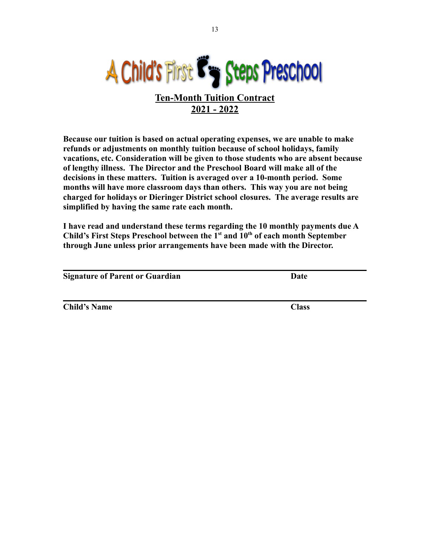

**Because our tuition is based on actual operating expenses, we are unable to make refunds or adjustments on monthly tuition because of school holidays, family vacations, etc. Consideration will be given to those students who are absent because of lengthy illness. The Director and the Preschool Board will make all of the decisions in these matters. Tuition is averaged over a 10-month period. Some months will have more classroom days than others. This way you are not being charged for holidays or Dieringer District school closures. The average results are simplified by having the same rate each month.**

**I have read and understand these terms regarding the 10 monthly payments due A Child's First Steps Preschool between the 1st and 10th of each month September through June unless prior arrangements have been made with the Director.**

| <b>Signature of Parent or Guardian</b> | Date         |
|----------------------------------------|--------------|
|                                        |              |
| <b>Child's Name</b>                    | <b>Class</b> |